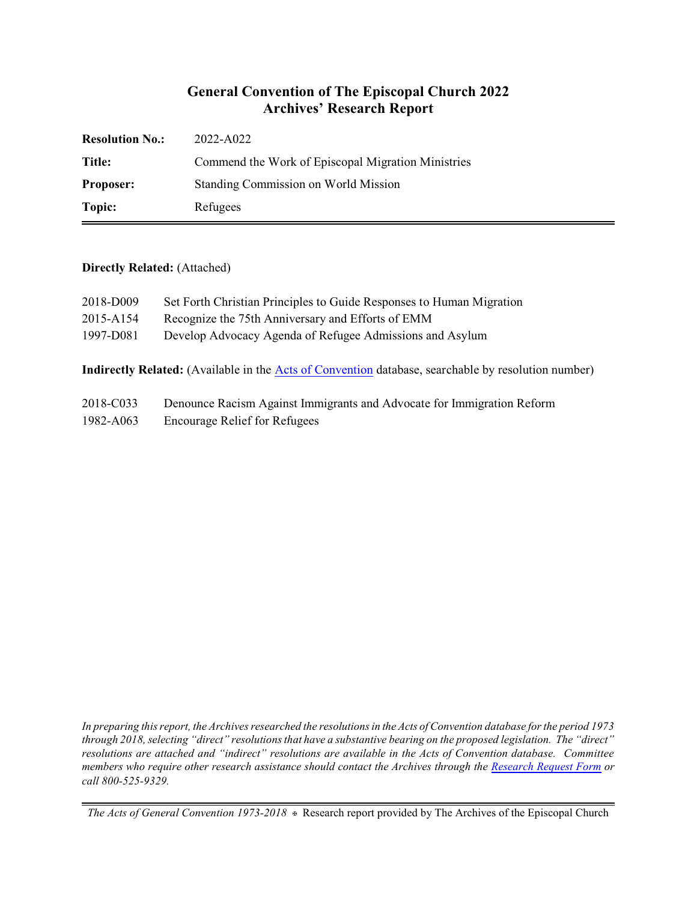# **General Convention of The Episcopal Church 2022 Archives' Research Report**

| <b>Resolution No.:</b> | 2022-A022                                          |
|------------------------|----------------------------------------------------|
| Title:                 | Commend the Work of Episcopal Migration Ministries |
| <b>Proposer:</b>       | Standing Commission on World Mission               |
| Topic:                 | Refugees                                           |

#### **Directly Related:** (Attached)

| 2018-D009 | Set Forth Christian Principles to Guide Responses to Human Migration |
|-----------|----------------------------------------------------------------------|
| 2015-A154 | Recognize the 75th Anniversary and Efforts of EMM                    |
| 1997-D081 | Develop Advocacy Agenda of Refugee Admissions and Asylum             |

**Indirectly Related:** (Available in the [Acts of Convention](https://www.episcopalarchives.org/e-archives/acts/) database, searchable by resolution number)

| 2018-C033 | Denounce Racism Against Immigrants and Advocate for Immigration Reform |
|-----------|------------------------------------------------------------------------|
| 1982-A063 | <b>Encourage Relief for Refugees</b>                                   |

*In preparing this report, the Archives researched the resolutions in the Acts of Convention database for the period 1973 through 2018, selecting "direct" resolutions that have a substantive bearing on the proposed legislation. The "direct" resolutions are attached and "indirect" resolutions are available in the Acts of Convention database. Committee members who require other research assistance should contact the Archives through the Research [Request Form](https://www.episcopalarchives.org/contact/research-request-form) or call 800-525-9329.*

*The Acts of General Convention 1973-2018*  $*$  Research report provided by The Archives of the Episcopal Church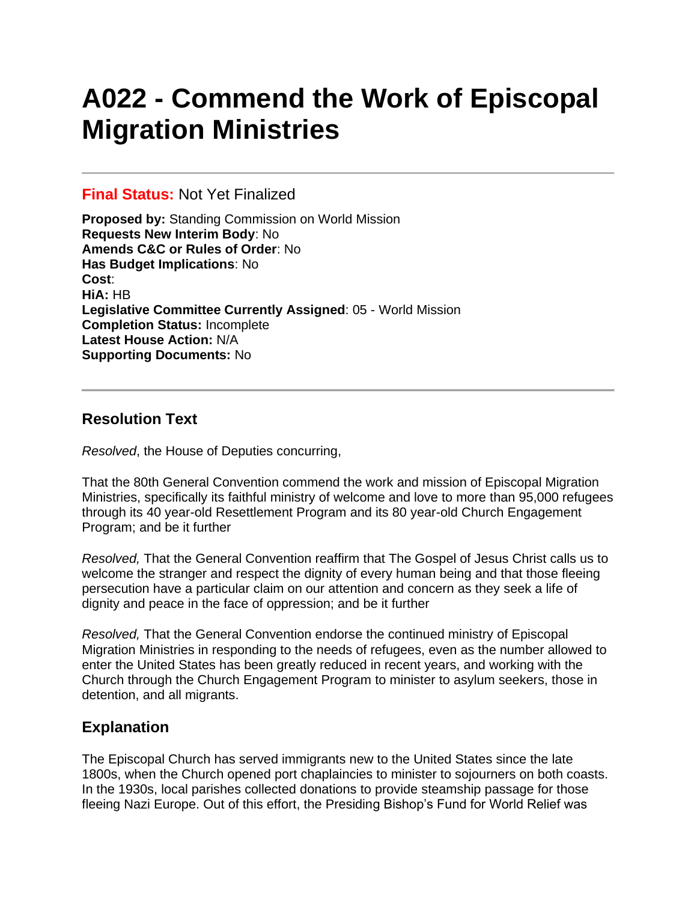# **A022 - Commend the Work of Episcopal Migration Ministries**

### **Final Status:** Not Yet Finalized

**Proposed by:** Standing Commission on World Mission **Requests New Interim Body**: No **Amends C&C or Rules of Order**: No **Has Budget Implications**: No **Cost**: **HiA:** HB **Legislative Committee Currently Assigned**: 05 - World Mission **Completion Status:** Incomplete **Latest House Action:** N/A **Supporting Documents:** No

# **Resolution Text**

*Resolved*, the House of Deputies concurring,

That the 80th General Convention commend the work and mission of Episcopal Migration Ministries, specifically its faithful ministry of welcome and love to more than 95,000 refugees through its 40 year-old Resettlement Program and its 80 year-old Church Engagement Program; and be it further

*Resolved,* That the General Convention reaffirm that The Gospel of Jesus Christ calls us to welcome the stranger and respect the dignity of every human being and that those fleeing persecution have a particular claim on our attention and concern as they seek a life of dignity and peace in the face of oppression; and be it further

*Resolved,* That the General Convention endorse the continued ministry of Episcopal Migration Ministries in responding to the needs of refugees, even as the number allowed to enter the United States has been greatly reduced in recent years, and working with the Church through the Church Engagement Program to minister to asylum seekers, those in detention, and all migrants.

# **Explanation**

The Episcopal Church has served immigrants new to the United States since the late 1800s, when the Church opened port chaplaincies to minister to sojourners on both coasts. In the 1930s, local parishes collected donations to provide steamship passage for those fleeing Nazi Europe. Out of this effort, the Presiding Bishop's Fund for World Relief was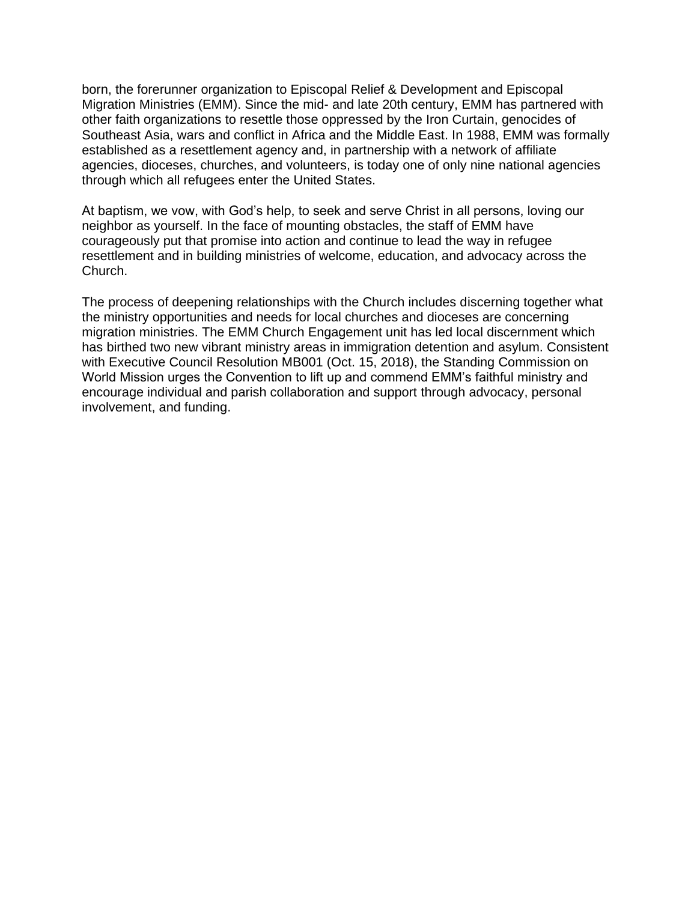born, the forerunner organization to Episcopal Relief & Development and Episcopal Migration Ministries (EMM). Since the mid- and late 20th century, EMM has partnered with other faith organizations to resettle those oppressed by the Iron Curtain, genocides of Southeast Asia, wars and conflict in Africa and the Middle East. In 1988, EMM was formally established as a resettlement agency and, in partnership with a network of affiliate agencies, dioceses, churches, and volunteers, is today one of only nine national agencies through which all refugees enter the United States.

At baptism, we vow, with God's help, to seek and serve Christ in all persons, loving our neighbor as yourself. In the face of mounting obstacles, the staff of EMM have courageously put that promise into action and continue to lead the way in refugee resettlement and in building ministries of welcome, education, and advocacy across the Church.

The process of deepening relationships with the Church includes discerning together what the ministry opportunities and needs for local churches and dioceses are concerning migration ministries. The EMM Church Engagement unit has led local discernment which has birthed two new vibrant ministry areas in immigration detention and asylum. Consistent with Executive Council Resolution MB001 (Oct. 15, 2018), the Standing Commission on World Mission urges the Convention to lift up and commend EMM's faithful ministry and encourage individual and parish collaboration and support through advocacy, personal involvement, and funding.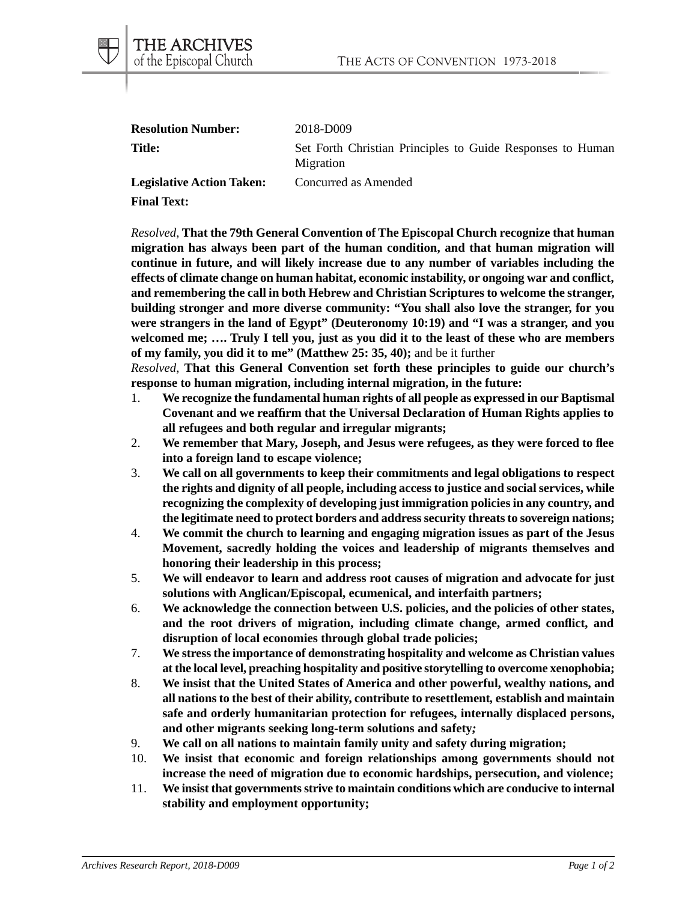| <b>Resolution Number:</b>        | 2018-D009                                                               |
|----------------------------------|-------------------------------------------------------------------------|
| <b>Title:</b>                    | Set Forth Christian Principles to Guide Responses to Human<br>Migration |
| <b>Legislative Action Taken:</b> | Concurred as Amended                                                    |

**Final Text:**

THE ARCHIVES of the Episcopal Church

*Resolved*, **That the 79th General Convention of The Episcopal Church recognize that human migration has always been part of the human condition, and that human migration will continue in future, and will likely increase due to any number of variables including the effects of climate change on human habitat, economic instability, or ongoing war and conflict, and remembering the call in both Hebrew and Christian Scriptures to welcome the stranger, building stronger and more diverse community: "You shall also love the stranger, for you were strangers in the land of Egypt" (Deuteronomy 10:19) and "I was a stranger, and you welcomed me; …. Truly I tell you, just as you did it to the least of these who are members of my family, you did it to me" (Matthew 25: 35, 40);** and be it further

*Resolved*, **That this General Convention set forth these principles to guide our church's response to human migration, including internal migration, in the future:**

- 1. **We recognize the fundamental human rights of all people as expressed in our Baptismal Covenant and we reaffirm that the Universal Declaration of Human Rights applies to all refugees and both regular and irregular migrants;**
- 2. **We remember that Mary, Joseph, and Jesus were refugees, as they were forced to flee into a foreign land to escape violence;**
- 3. **We call on all governments to keep their commitments and legal obligations to respect the rights and dignity of all people, including access to justice and social services, while recognizing the complexity of developing just immigration policies in any country, and the legitimate need to protect borders and address security threats to sovereign nations;**
- 4. **We commit the church to learning and engaging migration issues as part of the Jesus Movement, sacredly holding the voices and leadership of migrants themselves and honoring their leadership in this process;**
- 5. **We will endeavor to learn and address root causes of migration and advocate for just solutions with Anglican/Episcopal, ecumenical, and interfaith partners;**
- 6. **We acknowledge the connection between U.S. policies, and the policies of other states, and the root drivers of migration, including climate change, armed conflict, and disruption of local economies through global trade policies;**
- 7. **We stress the importance of demonstrating hospitality and welcome as Christian values at the local level, preaching hospitality and positive storytelling to overcome xenophobia;**
- 8. **We insist that the United States of America and other powerful, wealthy nations, and all nations to the best of their ability, contribute to resettlement***,* **establish and maintain safe and orderly humanitarian protection for refugees, internally displaced persons, and other migrants seeking long-term solutions and safety***;*
- 9. **We call on all nations to maintain family unity and safety during migration;**
- 10. **We insist that economic and foreign relationships among governments should not increase the need of migration due to economic hardships, persecution, and violence;**
- 11. **We insist that governments strive to maintain conditions which are conducive to internal stability and employment opportunity;**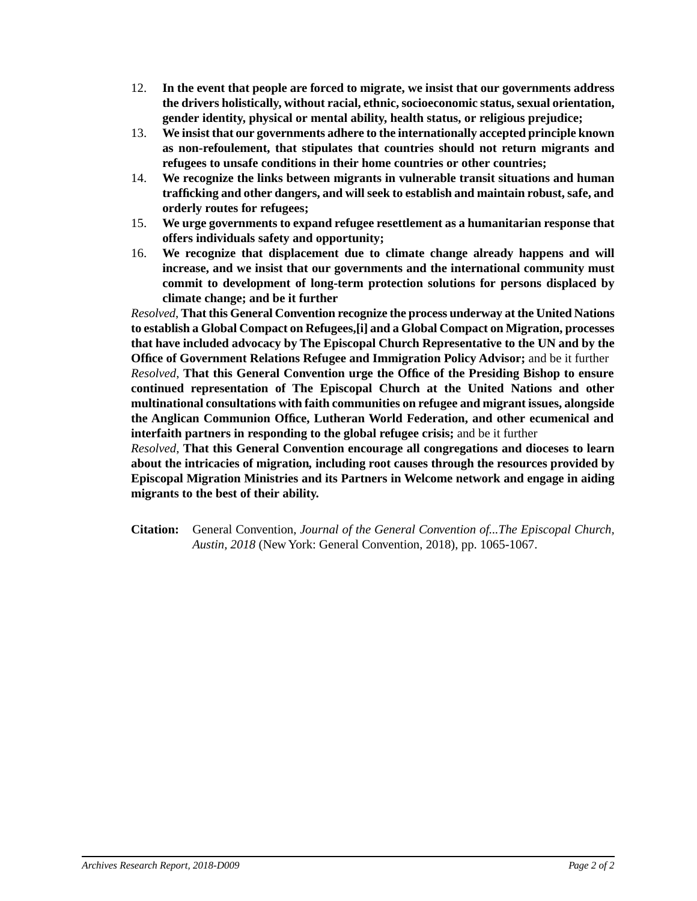- 12. **In the event that people are forced to migrate, we insist that our governments address the drivers holistically, without racial, ethnic, socioeconomic status, sexual orientation, gender identity, physical or mental ability, health status, or religious prejudice;**
- 13. **We insist that our governments adhere to the internationally accepted principle known as non-refoulement, that stipulates that countries should not return migrants and refugees to unsafe conditions in their home countries or other countries;**
- 14. **We recognize the links between migrants in vulnerable transit situations and human trafficking and other dangers, and will seek to establish and maintain robust, safe, and orderly routes for refugees;**
- 15. **We urge governments to expand refugee resettlement as a humanitarian response that offers individuals safety and opportunity;**
- 16. **We recognize that displacement due to climate change already happens and will increase, and we insist that our governments and the international community must commit to development of long-term protection solutions for persons displaced by climate change; and be it further**

*Resolved*, **That this General Convention recognize the process underway at the United Nations to establish a Global Compact on Refugees,[i] and a Global Compact on Migration, processes that have included advocacy by The Episcopal Church Representative to the UN and by the Office of Government Relations Refugee and Immigration Policy Advisor;** and be it further

*Resolved*, **That this General Convention urge the Office of the Presiding Bishop to ensure continued representation of The Episcopal Church at the United Nations and other multinational consultations with faith communities on refugee and migrant issues, alongside the Anglican Communion Office, Lutheran World Federation, and other ecumenical and interfaith partners in responding to the global refugee crisis;** and be it further

*Resolved*, **That this General Convention encourage all congregations and dioceses to learn about the intricacies of migration***,* **including root causes through the resources provided by Episcopal Migration Ministries and its Partners in Welcome network and engage in aiding migrants to the best of their ability.**

**Citation:** General Convention, *Journal of the General Convention of...The Episcopal Church, Austin, 2018* (New York: General Convention, 2018), pp. 1065-1067.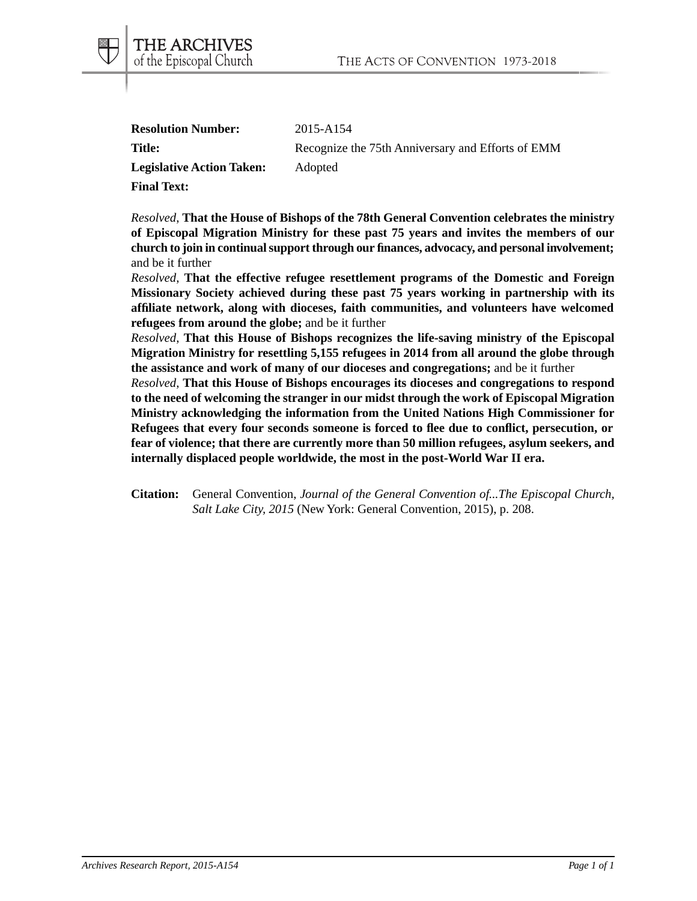| 2015-A154                                         |
|---------------------------------------------------|
| Recognize the 75th Anniversary and Efforts of EMM |
| Adopted                                           |
|                                                   |
|                                                   |

THE ARCHIVES of the Episcopal Church

*Resolved*, **That the House of Bishops of the 78th General Convention celebrates the ministry of Episcopal Migration Ministry for these past 75 years and invites the members of our church to join in continual support through our finances, advocacy, and personal involvement;** and be it further

*Resolved*, **That the effective refugee resettlement programs of the Domestic and Foreign Missionary Society achieved during these past 75 years working in partnership with its affiliate network, along with dioceses, faith communities, and volunteers have welcomed refugees from around the globe;** and be it further

*Resolved*, **That this House of Bishops recognizes the life-saving ministry of the Episcopal Migration Ministry for resettling 5,155 refugees in 2014 from all around the globe through the assistance and work of many of our dioceses and congregations;** and be it further

*Resolved*, **That this House of Bishops encourages its dioceses and congregations to respond to the need of welcoming the stranger in our midst through the work of Episcopal Migration Ministry acknowledging the information from the United Nations High Commissioner for Refugees that every four seconds someone is forced to flee due to conflict, persecution, or fear of violence; that there are currently more than 50 million refugees, asylum seekers, and internally displaced people worldwide, the most in the post-World War II era.**

**Citation:** General Convention, *Journal of the General Convention of...The Episcopal Church, Salt Lake City, 2015* (New York: General Convention, 2015), p. 208.